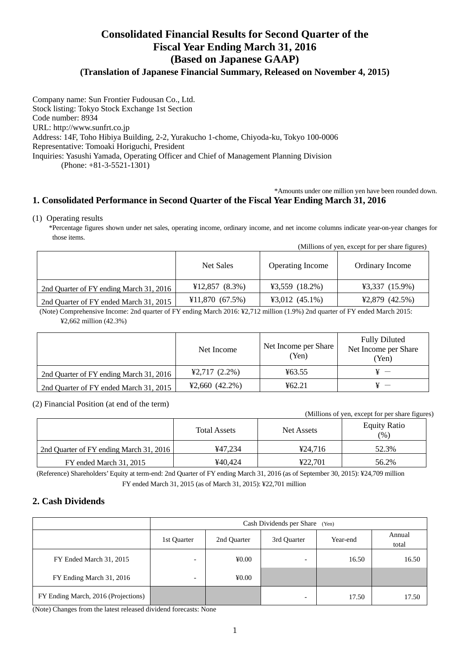# **Consolidated Financial Results for Second Quarter of the Fiscal Year Ending March 31, 2016 (Based on Japanese GAAP)**

## **(Translation of Japanese Financial Summary, Released on November 4, 2015)**

Company name: Sun Frontier Fudousan Co., Ltd. Stock listing: Tokyo Stock Exchange 1st Section Code number: 8934 URL: http://www.sunfrt.co.jp Address: 14F, Toho Hibiya Building, 2-2, Yurakucho 1-chome, Chiyoda-ku, Tokyo 100-0006 Representative: Tomoaki Horiguchi, President Inquiries: Yasushi Yamada, Operating Officer and Chief of Management Planning Division (Phone: +81-3-5521-1301)

#### \*Amounts under one million yen have been rounded down. **1. Consolidated Performance in Second Quarter of the Fiscal Year Ending March 31, 2016**

#### (1) Operating results

\*Percentage figures shown under net sales, operating income, ordinary income, and net income columns indicate year-on-year changes for those items.

|                                         | Net Sales      | <b>Operating Income</b> | Ordinary Income  |
|-----------------------------------------|----------------|-------------------------|------------------|
| 2nd Quarter of FY ending March 31, 2016 | ¥12,857(8.3%)  | ¥3,559 $(18.2\%)$       | $43,337$ (15.9%) |
| 2nd Quarter of FY ended March 31, 2015  | ¥11,870(67.5%) | ¥3,012 $(45.1\%)$       | $42,879$ (42.5%) |

(Note) Comprehensive Income: 2nd quarter of FY ending March 2016: ¥2,712 million (1.9%) 2nd quarter of FY ended March 2015: ¥2,662 million (42.3%)

|                                         | Net Income         | Net Income per Share<br>(Yen) | <b>Fully Diluted</b><br>Net Income per Share<br>(Yen) |
|-----------------------------------------|--------------------|-------------------------------|-------------------------------------------------------|
| 2nd Quarter of FY ending March 31, 2016 | $42,717$ $(2.2\%)$ | 463.55                        |                                                       |
| 2nd Quarter of FY ended March 31, 2015  | ¥2,660 $(42.2\%)$  | 462.21                        |                                                       |

#### (2) Financial Position (at end of the term)

(Millions of yen, except for per share figures)

(Millions of yen, except for per share figures)

|                                         | <b>Total Assets</b> | Net Assets | <b>Equity Ratio</b><br>(%) |
|-----------------------------------------|---------------------|------------|----------------------------|
| 2nd Quarter of FY ending March 31, 2016 | ¥47.234             | ¥24.716    | 52.3%                      |
| FY ended March 31, 2015                 | ¥40.424             | ¥22.701    | 56.2%                      |

(Reference) Shareholders' Equity at term-end: 2nd Quarter of FY ending March 31, 2016 (as of September 30, 2015): ¥24,709 million FY ended March 31, 2015 (as of March 31, 2015): ¥22,701 million

## **2. Cash Dividends**

|                                          | Cash Dividends per Share<br>(Yen) |             |             |          |                 |
|------------------------------------------|-----------------------------------|-------------|-------------|----------|-----------------|
|                                          | 1st Quarter                       | 2nd Quarter | 3rd Quarter | Year-end | Annual<br>total |
| FY Ended March 31, 2015                  | $\overline{\phantom{0}}$          | 40.00       | -           | 16.50    | 16.50           |
| FY Ending March 31, 2016                 | $\overline{\phantom{0}}$          | 40.00       |             |          |                 |
| FY Ending March, 2016 (Projections)<br>. | <br>$ -$                          |             | -           | 17.50    | 17.50           |

(Note) Changes from the latest released dividend forecasts: None